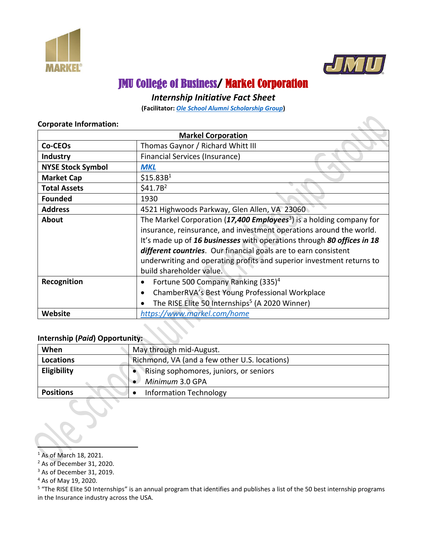



# JMU College of Business/ Markel Corporation

# *Internship Initiative Fact Sheet*

**(Facilitator:** *[Ole School Alumni Scholarship Group](https://www.oleschoolalumnigroup.com/)***)**

|                          | <b>Markel Corporation</b>                                                                                                                                                                                                                                                                                                                                                                                 |  |  |
|--------------------------|-----------------------------------------------------------------------------------------------------------------------------------------------------------------------------------------------------------------------------------------------------------------------------------------------------------------------------------------------------------------------------------------------------------|--|--|
| Co-CEOs                  | Thomas Gaynor / Richard Whitt III                                                                                                                                                                                                                                                                                                                                                                         |  |  |
| <b>Industry</b>          | <b>Financial Services (Insurance)</b>                                                                                                                                                                                                                                                                                                                                                                     |  |  |
| <b>NYSE Stock Symbol</b> | <b>MKL</b>                                                                                                                                                                                                                                                                                                                                                                                                |  |  |
| <b>Market Cap</b>        | \$15.83B <sup>1</sup>                                                                                                                                                                                                                                                                                                                                                                                     |  |  |
| <b>Total Assets</b>      | \$41.7B <sup>2</sup>                                                                                                                                                                                                                                                                                                                                                                                      |  |  |
| <b>Founded</b>           | 1930                                                                                                                                                                                                                                                                                                                                                                                                      |  |  |
| <b>Address</b>           | 4521 Highwoods Parkway, Glen Allen, VA 23060                                                                                                                                                                                                                                                                                                                                                              |  |  |
| About                    | The Markel Corporation (17,400 Employees <sup>3</sup> ) is a holding company for<br>insurance, reinsurance, and investment operations around the world.<br>It's made up of 16 businesses with operations through 80 offices in 18<br>different countries. Our financial goals are to earn consistent<br>underwriting and operating profits and superior investment returns to<br>build shareholder value. |  |  |
| Recognition              | Fortune 500 Company Ranking (335) <sup>4</sup><br>$\bullet$<br>ChamberRVA's Best Young Professional Workplace<br>The RISE Elite 50 Internships <sup>5</sup> (A 2020 Winner)<br>$\bullet$                                                                                                                                                                                                                  |  |  |
| <b>Website</b>           | https://www.markel.com/home                                                                                                                                                                                                                                                                                                                                                                               |  |  |

#### **Corporate Information:**

## **Internship (***Paid***) Opportunity:**

| When               | May through mid-August.                       |  |  |
|--------------------|-----------------------------------------------|--|--|
| <b>Locations</b>   | Richmond, VA (and a few other U.S. locations) |  |  |
| <b>Eligibility</b> | Rising sophomores, juniors, or seniors        |  |  |
|                    | Minimum 3.0 GPA                               |  |  |
| <b>Positions</b>   | <b>Information Technology</b>                 |  |  |

<sup>1</sup> As of March 18, 2021.

<sup>2</sup> As of December 31, 2020.

<sup>3</sup> As of December 31, 2019.

<sup>5</sup> "The RISE Elite 50 Internships" is an annual program that identifies and publishes a list of the 50 best internship programs in the Insurance industry across the USA.

<sup>4</sup> As of May 19, 2020.